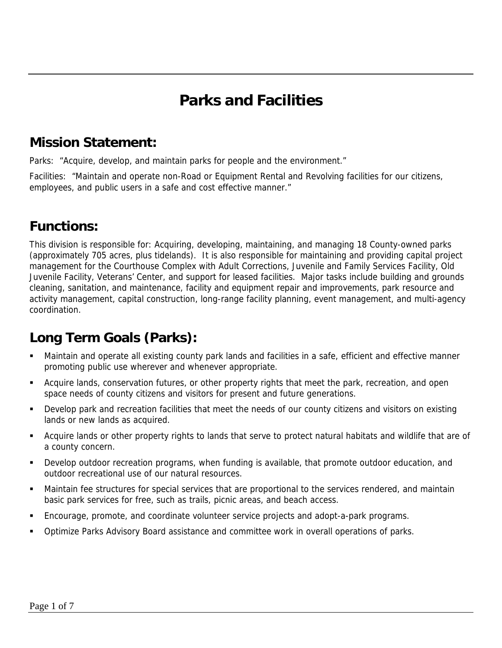## **Parks and Facilities**

### **Mission Statement:**

Parks: "Acquire, develop, and maintain parks for people and the environment."

Facilities: "Maintain and operate non-Road or Equipment Rental and Revolving facilities for our citizens, employees, and public users in a safe and cost effective manner."

### **Functions:**

This division is responsible for: Acquiring, developing, maintaining, and managing 18 County-owned parks (approximately 705 acres, plus tidelands). It is also responsible for maintaining and providing capital project management for the Courthouse Complex with Adult Corrections, Juvenile and Family Services Facility, Old Juvenile Facility, Veterans' Center, and support for leased facilities. Major tasks include building and grounds cleaning, sanitation, and maintenance, facility and equipment repair and improvements, park resource and activity management, capital construction, long-range facility planning, event management, and multi-agency coordination.

## **Long Term Goals (Parks):**

- Maintain and operate all existing county park lands and facilities in a safe, efficient and effective manner promoting public use wherever and whenever appropriate.
- Acquire lands, conservation futures, or other property rights that meet the park, recreation, and open space needs of county citizens and visitors for present and future generations.
- Develop park and recreation facilities that meet the needs of our county citizens and visitors on existing lands or new lands as acquired.
- Acquire lands or other property rights to lands that serve to protect natural habitats and wildlife that are of a county concern.
- Develop outdoor recreation programs, when funding is available, that promote outdoor education, and outdoor recreational use of our natural resources.
- Maintain fee structures for special services that are proportional to the services rendered, and maintain basic park services for free, such as trails, picnic areas, and beach access.
- Encourage, promote, and coordinate volunteer service projects and adopt-a-park programs.
- Optimize Parks Advisory Board assistance and committee work in overall operations of parks.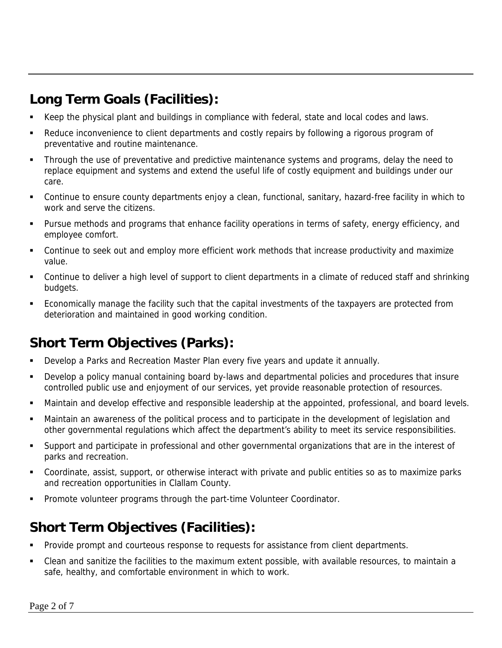## **Long Term Goals (Facilities):**

- Keep the physical plant and buildings in compliance with federal, state and local codes and laws.
- Reduce inconvenience to client departments and costly repairs by following a rigorous program of preventative and routine maintenance.
- Through the use of preventative and predictive maintenance systems and programs, delay the need to replace equipment and systems and extend the useful life of costly equipment and buildings under our care.
- Continue to ensure county departments enjoy a clean, functional, sanitary, hazard-free facility in which to work and serve the citizens.
- Pursue methods and programs that enhance facility operations in terms of safety, energy efficiency, and employee comfort.
- Continue to seek out and employ more efficient work methods that increase productivity and maximize value.
- Continue to deliver a high level of support to client departments in a climate of reduced staff and shrinking budgets.
- Economically manage the facility such that the capital investments of the taxpayers are protected from deterioration and maintained in good working condition.

## **Short Term Objectives (Parks):**

- Develop a Parks and Recreation Master Plan every five years and update it annually.
- Develop a policy manual containing board by-laws and departmental policies and procedures that insure controlled public use and enjoyment of our services, yet provide reasonable protection of resources.
- Maintain and develop effective and responsible leadership at the appointed, professional, and board levels.
- Maintain an awareness of the political process and to participate in the development of legislation and other governmental regulations which affect the department's ability to meet its service responsibilities.
- Support and participate in professional and other governmental organizations that are in the interest of parks and recreation.
- Coordinate, assist, support, or otherwise interact with private and public entities so as to maximize parks and recreation opportunities in Clallam County.
- Promote volunteer programs through the part-time Volunteer Coordinator.

### **Short Term Objectives (Facilities):**

- Provide prompt and courteous response to requests for assistance from client departments.
- Clean and sanitize the facilities to the maximum extent possible, with available resources, to maintain a safe, healthy, and comfortable environment in which to work.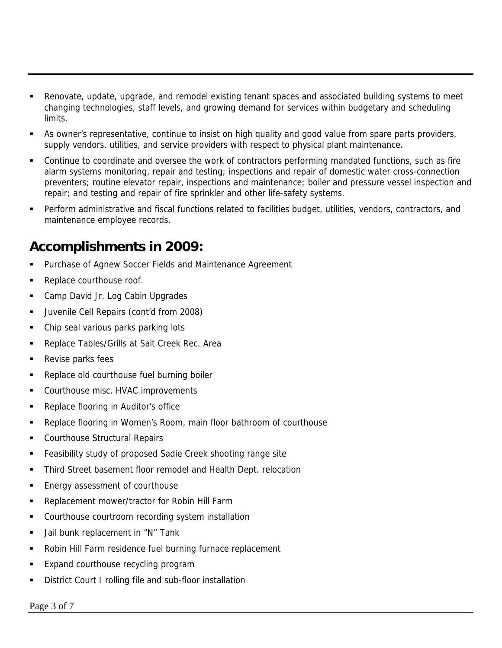- Renovate, update, upgrade, and remodel existing tenant spaces and associated building systems to meet changing technologies, staff levels, and growing demand for services within budgetary and scheduling limits.
- As owner's representative, continue to insist on high quality and good value from spare parts providers, supply vendors, utilities, and service providers with respect to physical plant maintenance.
- **Continue to coordinate and oversee the work of contractors performing mandated functions, such as fire** alarm systems monitoring, repair and testing; inspections and repair of domestic water cross-connection preventers; routine elevator repair, inspections and maintenance; boiler and pressure vessel inspection and repair; and testing and repair of fire sprinkler and other life-safety systems.
- Perform administrative and fiscal functions related to facilities budget, utilities, vendors, contractors, and maintenance employee records.

#### **Accomplishments in 2009:**

- Purchase of Agnew Soccer Fields and Maintenance Agreement
- Replace courthouse roof.
- Camp David Jr. Log Cabin Upgrades
- Juvenile Cell Repairs (cont'd from 2008)
- Chip seal various parks parking lots
- Replace Tables/Grills at Salt Creek Rec. Area
- **Revise parks fees**
- Replace old courthouse fuel burning boiler
- Courthouse misc. HVAC improvements
- Replace flooring in Auditor's office
- Replace flooring in Women's Room, main floor bathroom of courthouse
- **Courthouse Structural Repairs**
- Feasibility study of proposed Sadie Creek shooting range site
- Third Street basement floor remodel and Health Dept. relocation
- Energy assessment of courthouse
- Replacement mower/tractor for Robin Hill Farm
- **Courthouse courtroom recording system installation**
- **Jail bunk replacement in "N" Tank**
- **Robin Hill Farm residence fuel burning furnace replacement**
- Expand courthouse recycling program
- District Court I rolling file and sub-floor installation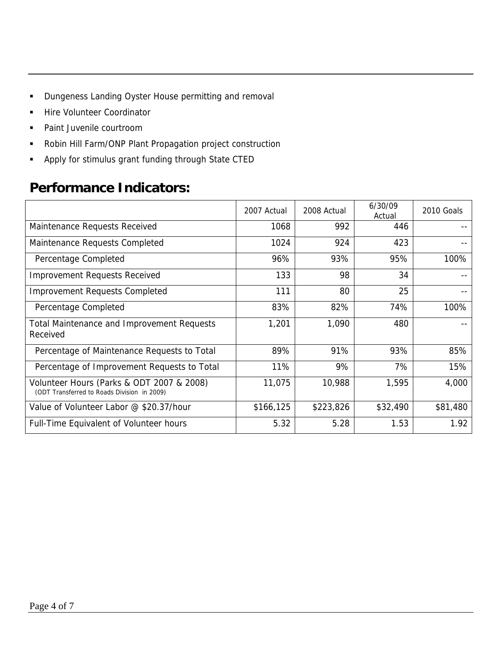- **•** Dungeness Landing Oyster House permitting and removal
- Hire Volunteer Coordinator
- **Paint Juvenile courtroom**
- Robin Hill Farm/ONP Plant Propagation project construction
- Apply for stimulus grant funding through State CTED

### **Performance Indicators:**

|                                                                                          | 2007 Actual | 2008 Actual | 6/30/09<br>Actual | 2010 Goals |
|------------------------------------------------------------------------------------------|-------------|-------------|-------------------|------------|
| Maintenance Requests Received                                                            | 1068        | 992         | 446               |            |
| Maintenance Requests Completed                                                           | 1024        | 924         | 423               |            |
| Percentage Completed                                                                     | 96%         | 93%         | 95%               | 100%       |
| <b>Improvement Requests Received</b>                                                     | 133         | 98          | 34                |            |
| <b>Improvement Requests Completed</b>                                                    | 111         | 80          | 25                |            |
| Percentage Completed                                                                     | 83%         | 82%         | 74%               | 100%       |
| <b>Total Maintenance and Improvement Requests</b><br>Received                            | 1,201       | 1,090       | 480               |            |
| Percentage of Maintenance Requests to Total                                              | 89%         | 91%         | 93%               | 85%        |
| Percentage of Improvement Requests to Total                                              | 11%         | 9%          | 7%                | 15%        |
| Volunteer Hours (Parks & ODT 2007 & 2008)<br>(ODT Transferred to Roads Division in 2009) | 11,075      | 10,988      | 1,595             | 4,000      |
| Value of Volunteer Labor @ \$20.37/hour                                                  | \$166,125   | \$223,826   | \$32,490          | \$81,480   |
| Full-Time Equivalent of Volunteer hours                                                  | 5.32        | 5.28        | 1.53              | 1.92       |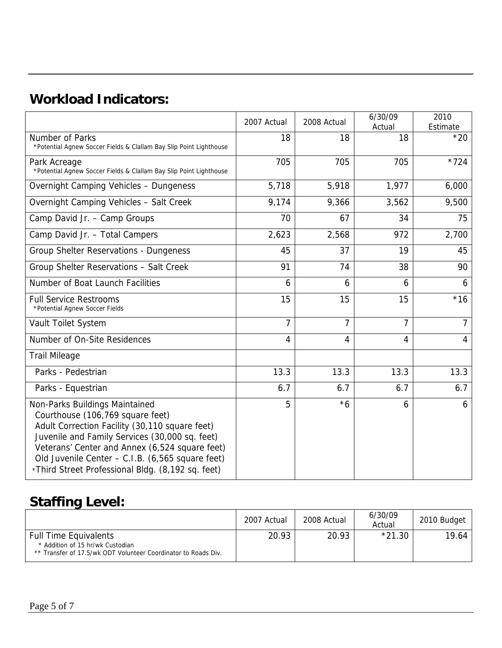## **Workload Indicators:**

|                                                                                                                                                                                                                                                                                                                                   | 2007 Actual    | 2008 Actual    | 6/30/09<br>Actual | 2010<br>Estimate |
|-----------------------------------------------------------------------------------------------------------------------------------------------------------------------------------------------------------------------------------------------------------------------------------------------------------------------------------|----------------|----------------|-------------------|------------------|
| Number of Parks<br>*Potential Agnew Soccer Fields & Clallam Bay Slip Point Lighthouse                                                                                                                                                                                                                                             | 18             | 18             | 18                | $*20$            |
| Park Acreage<br>*Potential Agnew Soccer Fields & Clallam Bay Slip Point Lighthouse                                                                                                                                                                                                                                                | 705            | 705            | 705               | $*724$           |
| Overnight Camping Vehicles - Dungeness                                                                                                                                                                                                                                                                                            | 5,718          | 5,918          | 1,977             | 6,000            |
| Overnight Camping Vehicles - Salt Creek                                                                                                                                                                                                                                                                                           | 9,174          | 9,366          | 3,562             | 9,500            |
| Camp David Jr. - Camp Groups                                                                                                                                                                                                                                                                                                      | 70             | 67             | 34                | 75               |
| Camp David Jr. - Total Campers                                                                                                                                                                                                                                                                                                    | 2,623          | 2,568          | 972               | 2,700            |
| Group Shelter Reservations - Dungeness                                                                                                                                                                                                                                                                                            | 45             | 37             | 19                | 45               |
| Group Shelter Reservations - Salt Creek                                                                                                                                                                                                                                                                                           | 91             | 74             | 38                | 90               |
| Number of Boat Launch Facilities                                                                                                                                                                                                                                                                                                  | 6              | 6              | 6                 | 6                |
| <b>Full Service Restrooms</b><br>*Potential Agnew Soccer Fields                                                                                                                                                                                                                                                                   | 15             | 15             | 15                | $*16$            |
| Vault Toilet System                                                                                                                                                                                                                                                                                                               | $\overline{7}$ | $\overline{7}$ | 7                 | $\overline{7}$   |
| Number of On-Site Residences                                                                                                                                                                                                                                                                                                      | 4              | 4              | 4                 | $\overline{4}$   |
| <b>Trail Mileage</b>                                                                                                                                                                                                                                                                                                              |                |                |                   |                  |
| Parks - Pedestrian                                                                                                                                                                                                                                                                                                                | 13.3           | 13.3           | 13.3              | 13.3             |
| Parks - Equestrian                                                                                                                                                                                                                                                                                                                | 6.7            | 6.7            | 6.7               | 6.7              |
| Non-Parks Buildings Maintained<br>Courthouse (106,769 square feet)<br>Adult Correction Facility (30,110 square feet)<br>Juvenile and Family Services (30,000 sq. feet)<br>Veterans' Center and Annex (6,524 square feet)<br>Old Juvenile Center - C.I.B. (6,565 square feet)<br>*Third Street Professional Bldg. (8,192 sq. feet) | 5              | $*6$           | 6                 | 6                |

# **Staffing Level:**

|                                                                                                                                    | 2007 Actual | 2008 Actual | 6/30/09<br>Actual | 2010 Budget |
|------------------------------------------------------------------------------------------------------------------------------------|-------------|-------------|-------------------|-------------|
| <b>Full Time Equivalents</b><br>* Addition of 15 hr/wk Custodian<br>** Transfer of 17.5/wk ODT Volunteer Coordinator to Roads Div. | 20.93       | 20.93       | $*21.30$          | 19.64       |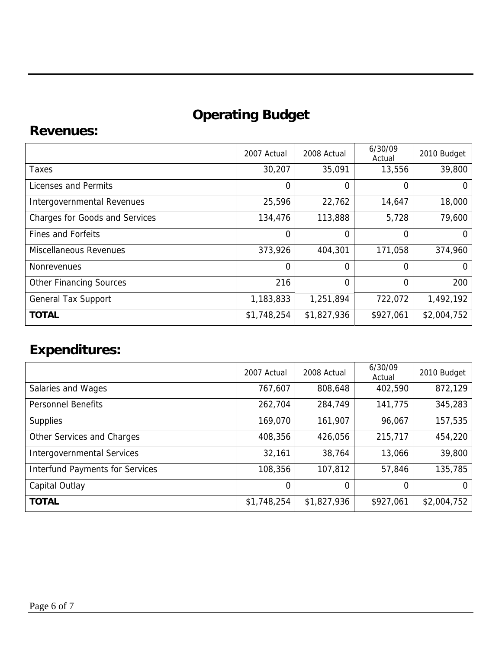# **Operating Budget**

#### **Revenues:**

|                                       | 2007 Actual | 2008 Actual | 6/30/09<br>Actual | 2010 Budget |
|---------------------------------------|-------------|-------------|-------------------|-------------|
| Taxes                                 | 30,207      | 35,091      | 13,556            | 39,800      |
| Licenses and Permits                  | $\Omega$    | 0           | 0                 | 0           |
| Intergovernmental Revenues            | 25,596      | 22,762      | 14,647            | 18,000      |
| <b>Charges for Goods and Services</b> | 134,476     | 113,888     | 5,728             | 79,600      |
| <b>Fines and Forfeits</b>             | $\Omega$    | 0           | 0                 | $\Omega$    |
| Miscellaneous Revenues                | 373,926     | 404,301     | 171,058           | 374,960     |
| <b>Nonrevenues</b>                    | $\Omega$    | 0           | 0                 | 0           |
| <b>Other Financing Sources</b>        | 216         | 0           | $\Omega$          | 200         |
| <b>General Tax Support</b>            | 1,183,833   | 1,251,894   | 722,072           | 1,492,192   |
| <b>TOTAL</b>                          | \$1,748,254 | \$1,827,936 | \$927,061         | \$2,004,752 |

## **Expenditures:**

|                                        | 2007 Actual | 2008 Actual | 6/30/09<br>Actual | 2010 Budget |
|----------------------------------------|-------------|-------------|-------------------|-------------|
| Salaries and Wages                     | 767,607     | 808,648     | 402,590           | 872,129     |
| <b>Personnel Benefits</b>              | 262,704     | 284,749     | 141,775           | 345,283     |
| <b>Supplies</b>                        | 169,070     | 161,907     | 96,067            | 157,535     |
| Other Services and Charges             | 408,356     | 426,056     | 215,717           | 454,220     |
| <b>Intergovernmental Services</b>      | 32,161      | 38,764      | 13,066            | 39,800      |
| <b>Interfund Payments for Services</b> | 108,356     | 107,812     | 57,846            | 135,785     |
| Capital Outlay                         | 0           | 0           | 0                 |             |
| <b>TOTAL</b>                           | \$1,748,254 | \$1,827,936 | \$927,061         | \$2,004,752 |